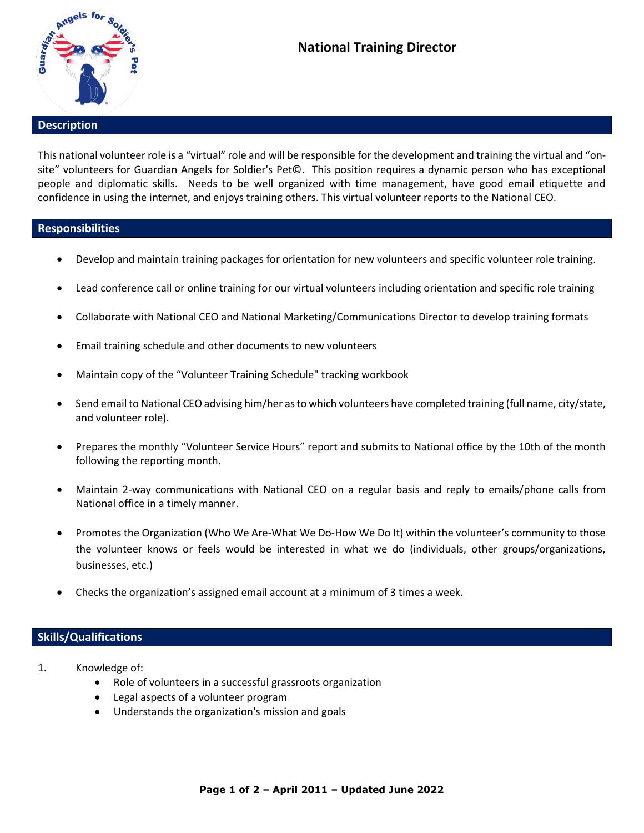

## **Description**

This national volunteer role is a "virtual" role and will be responsible for the development and training the virtual and "onsite" volunteers for Guardian Angels for Soldier's Pet©. This position requires a dynamic person who has exceptional people and diplomatic skills. Needs to be well organized with time management, have good email etiquette and confidence in using the internet, and enjoys training others. This virtual volunteer reports to the National CEO.

## **Responsibilities**

- Develop and maintain training packages for orientation for new volunteers and specific volunteer role training.
- Lead conference call or online training for our virtual volunteers including orientation and specific role training
- Collaborate with National CEO and National Marketing/Communications Director to develop training formats
- Email training schedule and other documents to new volunteers
- Maintain copy of the "Volunteer Training Schedule" tracking workbook
- Send email to National CEO advising him/her as to which volunteers have completed training (full name, city/state, and volunteer role).
- Prepares the monthly "Volunteer Service Hours" report and submits to National office by the 10th of the month following the reporting month.
- Maintain 2-way communications with National CEO on a regular basis and reply to emails/phone calls from National office in a timely manner.
- Promotes the Organization (Who We Are-What We Do-How We Do It) within the volunteer's community to those the volunteer knows or feels would be interested in what we do (individuals, other groups/organizations, businesses, etc.)
- Checks the organization's assigned email account at a minimum of 3 times a week.

## **Skills/Qualifications**

- 1. Knowledge of:
	- Role of volunteers in a successful grassroots organization
	- Legal aspects of a volunteer program
	- Understands the organization's mission and goals